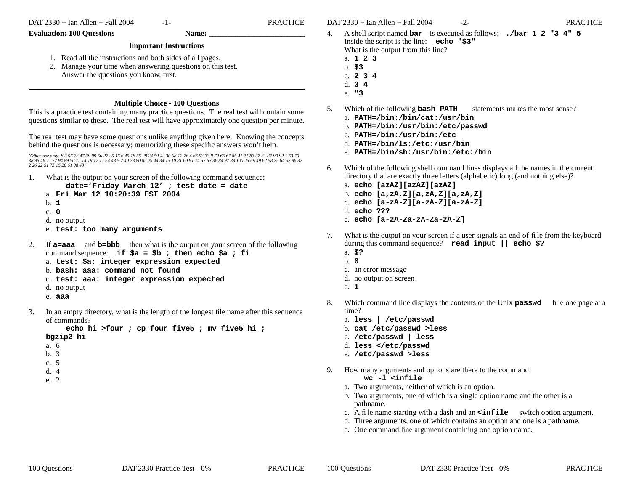-1- PRACTICE

#### **Evaluation: 100 Questions Name:**

### **Important Instructions**

- 1. Read all the instructions and both sides of all pages.
- 2. Manage your time when answering questions on this test. Answer the questions you know, first.

## **Multiple Choice - 100 Questions**

This is a practice test containing many practice questions. The real test will contain some questions similar to these. The real test will have approximately one question per minute.

The real test may have some questions unlike anything given here. Knowing the concepts behind the questions is necessary; memorizing these specific answers won't help.

(Office use only: 8 3 96 23 47 39 99 56 27 35 16 6 45 18 55 28 24 59 42 30 68 12 76 4 66 93 33 9 79 65 67 85 41 21 83 37 31 87 90 92 1 53 70<br>38 95 46 71 77 94 89 50 72 14 19 17 11 54 48 5 7 40 78 80 82 29 44 34 13 10 81 60 *2 26 22 51 73 15 20 61 98 43)*

- 1. What is the output on your screen of the following command sequence:
	- **date='Friday March 12' ; test date = date**
	- a. **Fri Mar 12 10:20:39 EST 2004**
	- b. **1**
	- c. **0**
	- d. no output
	- e. **test: too many arguments**
- $2.$  **a=aaa** and **b=bbb** then what is the output on your screen of the following command sequence: **if \$a = \$b ; then echo \$a ; fi** a. **test: \$a: integer expression expected**
	- b. **bash: aaa: command not found**
	- c. **test: aaa: integer expression expected**
	- d. no output
	- e. **aaa**
- 3. In an empty directory, what is the length of the longest file name after this sequence of commands?

**echo hi >four ; cp four five5 ; mv five5 hi ; bgzip2 hi**

- a. 6
- b. 3
- c. 5
- 
- d. 4
- e. 2

DAT 2330 − Ian Allen − Fall 2004 -2- PRACTICE

- $4.$  shell script named **bar** is executed as follows: **./bar 1 2 "3 4" 5** Inside the script is the line: **echo "\$3"** What is the output from this line?
	- a. **123**
	- b. **\$3**
	- c. **234**d. **3 4**
	- e. **"3**
- 5. Which of the following **bash PATH** statements makes the most sense?
	- a. **PATH=/bin:/bin/cat:/usr/bin**
	- b. **PATH=/bin:/usr/bin:/etc/passwd**
	- c. **PATH=/bin:/usr/bin:/etc**
	- d. **PATH=/bin/ls:/etc:/usr/bin**
	- e. **PATH=/bin/sh:/usr/bin:/etc:/bin**
- 6. Which of the following shell command lines displays all the names in the current directory that are exactly three letters (alphabetic) long (and nothing else)?
	- a. **echo [azAZ][azAZ][azAZ]**
	- b. **echo [a,zA,Z][a,zA,Z][a,zA,Z]**
	- c. **echo [a-zA-Z][a-zA-Z][a-zA-Z]**
	- d. **echo ???**
	- e. **echo [a-zA-Za-zA-Za-zA-Z]**
- 7. What is the output on your screen if a user signals an end-of-file from the keyboard during this command sequence? **read input || echo \$?**
	- a. **\$?**
	- b. **0**
	- c. an error message
	- d. no output on screen
	- e. **1**
- 8. Which command line displays the contents of the Unix **passwd** file one page at a time?
	- a. **less | /etc/passwd**
	- b. **cat /etc/passwd >less**
	- c. **/etc/passwd | less**
	- d. **less </etc/passwd**
	- e. **/etc/passwd >less**
- 9. How many arguments and options are there to the command:

## **wc -l <infile**

- a. Two arguments, neither of which is an option.
- b. Two arguments, one of which is a single option name and the other is a pathname.
- c. A file name starting with a dash and an **<infile** switch option argument.
- d. Three arguments, one of which contains an option and one is a pathname.
- e. One command line argument containing one option name.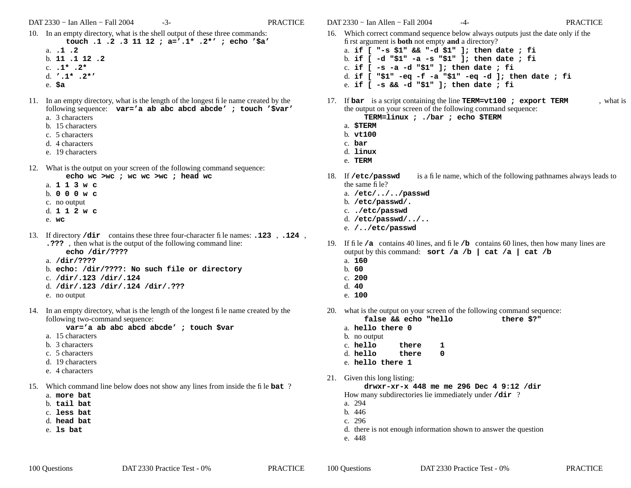DAT 2330 − Ian Allen − Fall 2004 -3- PRACTICE

- 10. In an empty directory, what is the shell output of these three commands: **touch .1 .2 .3 11 12 ; a='.1\* .2\*' ; echo '\$a'**
	- a. **.1 .2**b. **11 .1 12 .2**
	- c. **.1\* .2\***
	- d. **'.1\* .2\*'**
	- e. **\$a**
- 11. In an empty directory, what is the length of the longest file name created by the following sequence: **var='a ab abc abcd abcde' ; touch '\$var'**
	- a. 3 characters
	- b. 15 characters
	- c. 5 characters
	- d. 4 characters
	- e. 19 characters
- 12. What is the output on your screen of the following command sequence:
	- **echo wc >wc ; wc wc >wc ; head wc**
	- a. **113w c** b. **000w c**
	- c. no output
	- d. **112w c**
	- e. **wc**
- 13. If directory **/dir** contains these three four-character file names: **.123** , **.124** , **.???** , then what is the output of the following command line:
	- **echo /dir/????**
	- a. **/dir/????**
	- b. **echo: /dir/????: No such file or directory**
	- c. **/dir/.123 /dir/.124**
	- d. **/dir/.123 /dir/.124 /dir/.???**
	- e. no output
- 14. In an empty directory, what is the length of the longest file name created by the following two-command sequence:

**var='a ab abc abcd abcde' ; touch \$var**

- a. 15 characters
- b. 3 characters
- c. 5 characters
- d. 19 characters
- e. 4 characters
- 15. Which command line below does not show any lines from inside the file **bat** ?
	- a. **more bat**
	- b. **tail bat**
	- c. **less bat**
	- d. **head bat**
	- e. **ls bat**

DAT 2330 − Ian Allen − Fall 2004 -4- PRACTICE

- 16. Which correct command sequence below always outputs just the date only if the first argument is **both** not empty **and** <sup>a</sup> directory? a. **if [ "-s \$1" && "-d \$1" ]; then date ; fi** b. **if [ -d "\$1" -a -s "\$1" ]; then date ; fi** c. **if [ -s -a -d "\$1" ]; then date ; fi** d. **if [ "\$1" -eq -f -a "\$1" -eq -d ]; then date ; fi** e. **if [ -s && -d "\$1" ]; then date ; fi**
- 17. If **bar** is a script containing the line **TERM=vt100 ; export TERM** , what is the output on your screen of the following command sequence:

**TERM=linux ; ./bar ; echo \$TERM**

- a. **\$TERM**
- b. **vt100**
- c. **bar**
- d. **linux**
- e. **TERM**
- 18. If /etc/passwd is a file name, which of the following pathnames always leads to the same file?
	- a. **/etc/../../passwd**
	- b. **/etc/passwd/.**
	- c. **./etc/passwd**
	- d. **/etc/passwd/../..**
	- e. **/../etc/passwd**
- 19. If file **/a** contains 40 lines, and file **/b** contains 60 lines, then how many lines are output by this command: **sort /a /b | cat /a | cat /b** a. **160**
	- b. **60**
	- c. **200**
	- d. **40**
	- e. **100**
- 20. what is the output on your screen of the following command sequence: **false && echo "hello**
	- **there \$?"**
- a. **hello there 0**
- b. no output
- c. **hello there1**
- d. **hello there0**
- e. **hello there 1**
- 21. Given this long listing:

**drwxr-xr-x 448 me me 296 Dec 4 9:12 /dir**

- How many subdirectories lie immediately under **/dir** ?
- a. 294
- b. 446
- c. 296
- d. there is not enough information shown to answer the question
- e. 448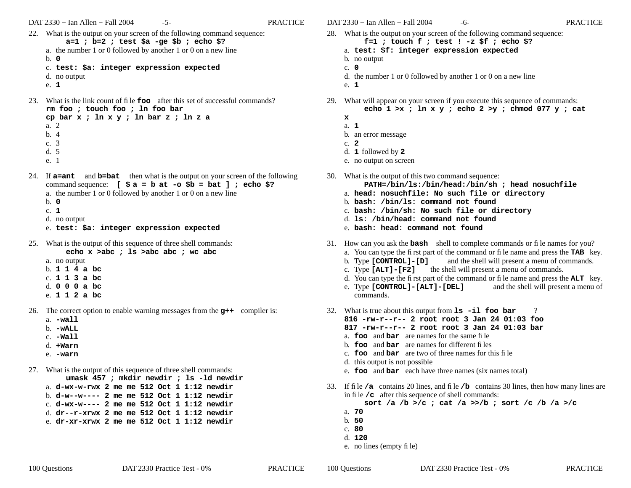- 22. What is the output on your screen of the following command sequence: **a=1 ; b=2 ; test \$a -ge \$b ; echo \$?** a. the number 1 or 0 followed by another 1 or 0 on a new line b. **0**
	- c. **test: \$a: integer expression expected**
	- d. no output
	- e. **1**
- 23. What is the link count of file **foo** after this set of successful commands? **rm foo ; touch foo ; ln foo bar**

```
cp bar x ; ln x y ; ln bar z ; ln z a
a. 2b. 4c. 3d. 5e. 1
```
- 24. If **a=ant** and **b=bat** then what is the output on your screen of the following command sequence: **[ \$ a=b at -o \$b = bat ] ; echo \$?** a. the number 1 or 0 followed by another 1 or 0 on a new line
	- b. **0**
	- c. **1**
	- d. no output
	- e. **test: \$a: integer expression expected**
- 25. What is the output of this sequence of three shell commands: **echo x >abc ; ls >abc abc ; wc abc**
	- a. no output b. **114a bc**
	- c. **113a bc**
	- d. **000a bc**
	- e. **112a bc**
- 26. The correct option to enable warning messages from the **g++** compiler is:
	- a. **-wall**
	- b. **-wALL**
	- c. **-Wall**
	- d. **+Warn**
	- e. **-warn**
- 27. What is the output of this sequence of three shell commands:
	- **umask 457 ; mkdir newdir ; ls -ld newdir** a. **d-wx-w-rwx 2 me me 512 Oct 1 1:12 newdir**
	- b. **d-w--w---- 2 me me 512 Oct 1 1:12 newdir**
	- c. **d-wx-w---- 2 me me 512 Oct 1 1:12 newdir**
	- d. **dr--r-xrwx 2 me me 512 Oct 1 1:12 newdir**
	- e. **dr-xr-xrwx 2 me me 512 Oct 1 1:12 newdir**

DAT 2330 − Ian Allen − Fall 2004 -6- contractive property of the PRACTICE

- 28. What is the output on your screen of the following command sequence: **f=1 ; touch f ; test ! -z \$f ; echo \$?**
	- a. **test: \$f: integer expression expected**
	- b. no output
	- c. **0**
	- d. the number 1 or 0 followed by another 1 or 0 on a new line
	- e. **1**
- 29. What will appear on your screen if you execute this sequence of commands: **echo 1 >x ; ln x y ; echo 2 >y ; chmod 077 y ; cat**
	- **x**
		- a. **1**
	- b. an error message
	- c. **2**
	- d. **1** followed by **<sup>2</sup>**
	- e. no output on screen
- 30. What is the output of this two command sequence:
	- **PATH=/bin/ls:/bin/head:/bin/sh ; head nosuchfile**
	- a. **head: nosuchfile: No such file or directory**
	- b. **bash: /bin/ls: command not found**
	- c. **bash: /bin/sh: No such file or directory**
	- d. **ls: /bin/head: command not found**
	- e. **bash: head: command not found**
- 31. How can you ask the **bash** shell to complete commands or file names for you?
	- a. You can type the first part of the command or file name and press the **TAB** key.
	- b. Type **[CONTROL]-[D]** and the shell will present a menu of commands.
	- c. Type **[ALT]-[F2]** the shell will present a menu of commands.
	- d. You can type the first part of the command or file name and press the **ALT** key.
	- e. Type **[CONTROL]-[ALT]-[DEL]** and the shell will present a menu of commands.
- 32. What is true about this output from **ls -il foo bar** ? **816 -rw-r--r-- 2 root root 3 Jan 24 01:03 foo817 -rw-r--r-- 2 root root 3 Jan 24 01:03 bar**a. **foo** and **bar** are names for the same file
	-
	- b. **foo** and **bar** are names for different files
	- c. **foo** and **bar** are two of three names for this file
	- d. this output is not possible
	- e. **foo** and **bar** each have three names (six names total)
- 33. If file **/a** contains 20 lines, and file **/b** contains 30 lines, then how many lines are in file **/c** after this sequence of shell commands:

**sort /a /b >/c ; cat /a >>/b ; sort /c /b /a >/c**

- a. **70**
- b. **50**
- c. **80**
- d. **120**
- e. no lines (empty file)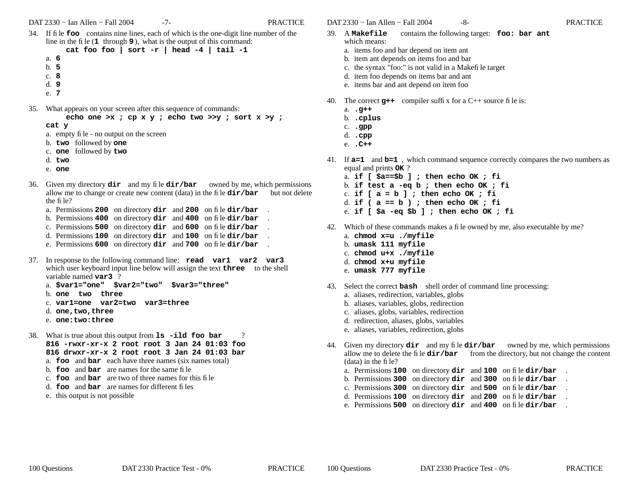DAT 2330 − Ian Allen − Fall 2004 -7- PRACTICE

34. If file **foo** contains nine lines, each of which is the one-digit line number of the line in the file (**<sup>1</sup>** through **9** ), what is the output of this command:

```
cat foo foo | sort -r | head -4 | tail -1
```
- a. **6**
- b. **5**
- c. **8**
- d. **9**
- e. **7**
- 35. What appears on your screen after this sequence of commands:
	- **echo one >x ; cp x y ; echo two >>y ; sort x >y ;**
	- **cat y**
	- a. empty file no output on the screen
	- b. **two** followed by **one**
	- c. **one** followed by **two**
	- d. **two**
	- e. **one**
- 36. Given my directory **dir** and my file **dir/bar** owned by me, which permissions allow me to change or create new content (data) in the file **dir/bar** but not delete the file?
	- a. Permissions **200** on directory **dir** and **<sup>200</sup>** on file **dir/bar** .
	- b. Permissions **400** on directory **dir** and **<sup>400</sup>** on file **dir/bar** .
	- c. Permissions **500** on directory **dir** and **<sup>600</sup>** on file **dir/bar** .
	- d. Permissions **100** on directory **dir** and **<sup>100</sup>** on file **dir/bar** .
	- e. Permissions **600** on directory **dir** and **<sup>700</sup>** on file **dir/bar** .
- 37. In response to the following command line: **read var1 var2 var3** which user keyboard input line below will assign the text **three** to the shell variable named **var3** ?
	- a. **\$var1="one" \$var2="two" \$var3="three"**
	- b. **one two three**
	- c. **var1=one var2=two var3=three**
	- d. **one,two,three**
	- e. **one:two:three**
- 38. What is true about this output from **ls -ild foo bar** ? **816 -rwxr-xr-x 2 root root 3 Jan 24 01:03 foo816 drwxr-xr-x 2 root root 3 Jan 24 01:03 bar**
	- a. **foo** and **bar** each have three names (six names total)
	- b. **foo** and **bar** are names for the same file
	- c. **foo** and **bar** are two of three names for this file
	- d. **foo** and **bar** are names for different files
	- e. this output is not possible
- 39. Acontains the following target: **foo: bar ant** which means:
	- a. items foo and bar depend on item ant
	- b. item ant depends on items foo and bar
	- c. the syntax "foo:" is not valid in a Makefile target
	- d. item foo depends on items bar and ant
	- e. items bar and ant depend on item foo
- 40. The correct **g++** compiler suffix for a C++ source file is:
	- a. **.g++**
	- b. **.cplus**
	- c. **.gpp**
	- d. **.cpp**
	- e. **.C++**
- 41. If **a=1** and **b=1** , which command sequence correctly compares the two numbers as equal and prints **OK** ?
	- a. **if [ \$a==\$b ] ; then echo OK ; fi**
	- b. **if test a -eq b ; then echo OK ; fi**
	- c. **if [ a = b ] ; then echo OK ; fi**
	- d. **if ( a == b ) ; then echo OK ; fi**
	- e. **if [ \$a -eq \$b ] ; then echo OK ; fi**
- 42. Which of these commands makes a file owned by me, also executable by me?
	- a. **chmod x=u ./myfile**
	- b. **umask 111 myfile**
	- c. **chmod u+x ./myfile**
	- d. **chmod x+u myfile**
	- e. **umask 777 myfile**
- 43. Select the correct **bash** shell order of command line processing:
	- a. aliases, redirection, variables, globs
	- b. aliases, variables, globs, redirection
	- c. aliases, globs, variables, redirection
	- d. redirection, aliases, globs, variables
	- e. aliases, variables, redirection, globs
- 44. Given my directory **dir** and my file **dir/bar** owned by me, which permissions allow me to delete the file  $dir/bar$  from the directory, but not change the content (data) in the file?
	- a. Permissions **100** on directory **dir** and **<sup>100</sup>** on file **dir/bar** .
	- b. Permissions **300** on directory **dir** and **<sup>300</sup>** on file **dir/bar** .
	- c. Permissions **300** on directory **dir** and **<sup>500</sup>** on file **dir/bar** .
	- d. Permissions **100** on directory **dir** and **<sup>200</sup>** on file **dir/bar** .
	- e. Permissions **500** on directory **dir** and **400** on file **dir/bar** .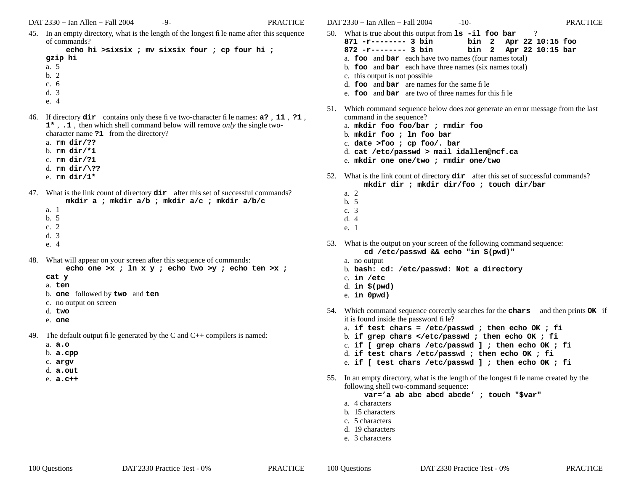45. In an empty directory, what is the length of the longest file name after this sequence of commands?

```
echo hi >sixsix ; mv sixsix four ; cp four hi ;
gzip hi
a. 5b. 2c. 6
```
- d. 3
- e. 4
- 46. If directory **dir** contains only these five two-character file names: **a?** , **<sup>11</sup>** , **?1** , **1\*** , **.1** , then which shell command below will remove *only* the single twocharacter name **?1** from the directory?
	- a. **rm dir/??**
	- b. **rm dir/\*1**
	- c. **rm dir/?1**
	- d. **rm dir/\??**
	- e. **rm dir/1\***
- 47. What is the link count of directory **dir** after this set of successful commands? **mkdir a ; mkdir a/b ; mkdir a/c ; mkdir a/b/c**
	- a. 1b. 5c. 2d. 3
	- e. 4
- 48. What will appear on your screen after this sequence of commands:

**echo one >x ; ln x y ; echo two >y ; echo ten >x ;**

- **cat y**
- a. **ten**
- b. **one** followed by **two** and **ten**
- c. no output on screen
- d. **two**
- e. **one**
- 49. The default output file generated by the C and  $C_{++}$  compilers is named:
	- a. **a.o**
	- b. **a.cpp**
	- c. **argv**
	- d. **a.out**
	- e. **a.c++**

DAT 2330 − Ian Allen − Fall 2004 -10- PRACTICE50. What is true about this output from **ls -il foo bar** ?

- **871 -r-------- 3 binbin 2 Apr 22 10:15 foo**
- **872 -r-------- 3 binbin 2 Apr 22 10:15 bar**
- a. **foo** and **bar** each have two names (four names total) b. **foo** and **bar** each have three names (six names total)
- c. this output is not possible
- d. **foo** and **bar** are names for the same file
- e. **foo** and **bar** are two of three names for this file
- 51. Which command sequence below does *not* generate an error message from the last command in the sequence?
	- a. **mkdir foo foo/bar ; rmdir foo**
	- b. **mkdir foo ; ln foo bar**
	- c. **date >foo ; cp foo/. bar**
	- d. **cat /etc/passwd > mail idallen@ncf.ca**
	- e. **mkdir one one/two ; rmdir one/two**
- 52. What is the link count of directory **dir** after this set of successful commands? **mkdir dir ; mkdir dir/foo ; touch dir/bar**
	- a. 2b. 5
	- c. 3
	- d. 4
	- e. 1
- 53. What is the output on your screen of the following command sequence: **cd /etc/passwd && echo "in \$(pwd)"**
	- a. no output
	- b. **bash: cd: /etc/passwd: Not a directory**
	- c. **in /etc**
	- d. **in \$(pwd)**
	- e. **in 0pwd)**
- 54. Which command sequence correctly searches for the **chars** and then prints **OK** if it is found inside the password file?
	- a. **if test chars = /etc/passwd ; then echo OK ; fi**
	- b. **if grep chars </etc/passwd ; then echo OK ; fi**
	- c. **if [ grep chars /etc/passwd ] ; then echo OK ; fi**
	- d. **if test chars /etc/passwd ; then echo OK ; fi**
	- e. **if [ test chars /etc/passwd ] ; then echo OK ; fi**
- 55. In an empty directory, what is the length of the longest file name created by the following shell two-command sequence:

**var='a ab abc abcd abcde' ; touch "\$var"**

- a. 4 characters
- b. 15 characters
- c. 5 characters
- d. 19 characters
- e. 3 characters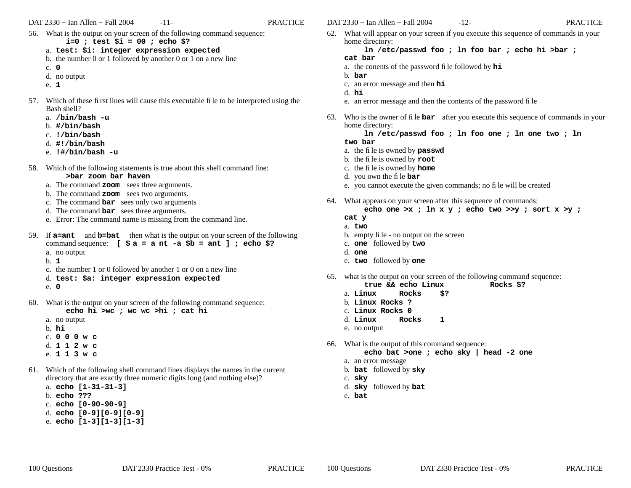DAT 2330 − Ian Allen − Fall 2004 -11- PRACTICE

- 56. What is the output on your screen of the following command sequence:
	- **i=0 ; test \$i = 00 ; echo \$?**
	- a. **test: \$i: integer expression expected**
	- b. the number 0 or 1 followed by another 0 or 1 on a new line
	- c. **0**
	- d. no output
	- e. **1**
- 57. Which of these first lines will cause this executable file to be interpreted using the Bash shell?
	- a. **/bin/bash -u**
	- b. **#/bin/bash**
	- c. **!/bin/bash**
	- d. **#!/bin/bash**
	- e. **!#/bin/bash -u**
- 58. Which of the following statements is true about this shell command line: **>bar zoom bar haven**
	- a. The command **zoom** sees three arguments.
	- b. The command **zoom** sees two arguments.
	- c. The command **bar** sees only two arguments
	- d. The command **bar** sees three arguments.
	- e. Error: The command name is missing from the command line.
- 59. If **a=ant** and **b=bat** then what is the output on your screen of the following command sequence: **[ \$ a=a nt -a \$b = ant ] ; echo \$?** a. no output
	- b. **1**
	- c. the number 1 or 0 followed by another 1 or 0 on a new line
	- d. **test: \$a: integer expression expected**
	- e. **0**
- 60. What is the output on your screen of the following command sequence: **echo hi >wc ; wc wc >hi ; cat hi**
	- a. no output b. **hi**c. **000w c** d. **112w c** e. **113w c**
- 61. Which of the following shell command lines displays the names in the current directory that are exactly three numeric digits long (and nothing else)?
	- a. **echo [1-31-31-3]**
	- b. **echo ???**
	- c. **echo [0-90-90-9]**
	- d. **echo [0-9][0-9][0-9]**
	- e. **echo [1-3][1-3][1-3]**
- DAT 2330 − Ian Allen − Fall 2004 -12- PRACTICE
- 62. What will appear on your screen if you execute this sequence of commands in your home directory:

**ln /etc/passwd foo ; ln foo bar ; echo hi >bar ; cat bar**

- a. the conents of the password file followed by **hi**
- b. **bar**
- c. an error message and then **hi**
- d. **hi**
- e. an error message and then the contents of the password file
- 63. Who is the owner of file **bar** after you execute this sequence of commands in your home directory:

**ln /etc/passwd foo ; ln foo one ; ln one two ; ln**

- **two bar**
- a. the file is owned by **passwd**
- b. the file is owned by **root**
- c. the file is owned by **home**
- d. you own the file **bar**
- e. you cannot execute the given commands; no file will be created
- 64. What appears on your screen after this sequence of commands:
	- **echo one >x ; ln x y ; echo two >>y ; sort x >y ;**

## **cat y**

- a. **two**
- b. empty file no output on the screen
- c. **one** followed by **two**
- d. **one**
- e. **two** followed by **one**
- 65. what is the output on your screen of the following command sequence: **true && echo Linux Rocks \$?**
	- Rocks \$?
	- a. **Linux Rocks**b. **Linux Rocks ?**
	- c. **Linux Rocks 0**
	-
	- d. **Linux Rocks1**
	- e. no output
- 66. What is the output of this command sequence:
	- **echo bat >one ; echo sky | head -2 one**
	- a. an error message
	- b. **bat** followed by **sky**
	- c. **sky**
	- d. **sky** followed by **bat**
	- e. **bat**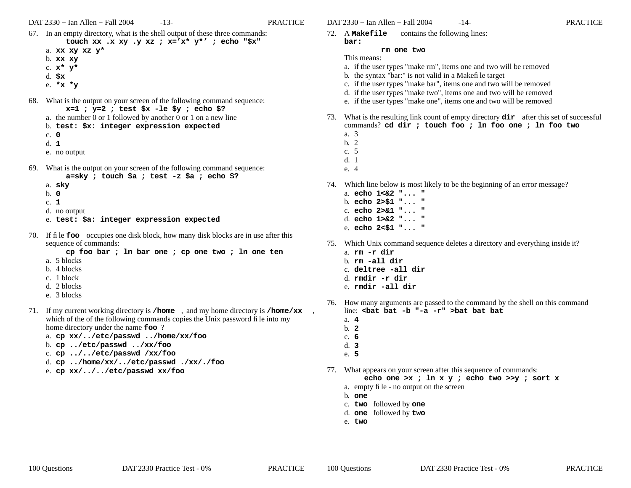DAT 2330 − Ian Allen − Fall 2004 -13- PRACTICE

- 67. In an empty directory, what is the shell output of these three commands: **touch xx .x xy .y xz ; x='x\* y\*' ; echo "\$x"** a. **xx xy xz y\***
	- b. **xx xy**
	- c. **<sup>x</sup>\* y\***
	- d. **\$x**
	- e. **\*x \*y**
- 68. What is the output on your screen of the following command sequence: **x=1 ; y=2 ; test \$x -le \$y ; echo \$?**
	- a. the number 0 or 1 followed by another 0 or 1 on a new line
	- b. **test: \$x: integer expression expected**
	- c. **0**
	- d. **1**
	- e. no output
- 69. What is the output on your screen of the following command sequence: **a=sky ; touch \$a ; test -z \$a ; echo \$?**
	- a. **sky**
	- b. **0**
	- c. **1**
	- d. no output
	- e. **test: \$a: integer expression expected**
- 70. If file **foo** occupies one disk block, how many disk blocks are in use after this sequence of commands:
	- **cp foo bar ; ln bar one ; cp one two ; ln one ten** a. 5 blocks
	- b. 4 blocks
	-
	- c. 1 block
	- d. 2 blocks
	- e. 3 blocks
- 71. If my current working directory is **/home** , and my home directory is **/home/xx** , which of the of the following commands copies the Unix password file into my home directory under the name **foo** ?
	- a. **cp xx/../etc/passwd ../home/xx/foo**
	- b. **cp ../etc/passwd ../xx/foo**
	- c. **cp ../../etc/passwd /xx/foo**
	- d. **cp ../home/xx/../etc/passwd ./xx/./foo**
	- e. **cp xx/../../etc/passwd xx/foo**
- DAT 2330 − Ian Allen − Fall 2004 -14- PRACTICE
- 72. A **Makefile** contains the following lines: **bar:**

### **rm one two**

- This means:
- a. if the user types "make rm", items one and two will be removed
- b. the syntax "bar:" is not valid in a Makefile target
- c. if the user types "make bar", items one and two will be removed
- d. if the user types "make two", items one and two will be removed
- e. if the user types "make one", items one and two will be removed
- 73. What is the resulting link count of empty directory **dir** after this set of successful commands? **cd dir ; touch foo ; ln foo one ; ln foo two**
	- a. 3
	- b. 2
	- c. 5
	- d. 1
	- e. 4
- 74. Which line below is most likely to be the beginning of an error message?
	- a. **echo 1<&2 "... "**b. **echo 2>\$1 "... "** c. **echo 2>&1 "... "**d. **echo 1>&2 "... "**
	- e. **echo 2<\$1 "... "**
- 75. Which Unix command sequence deletes a directory and everything inside it? a. **rm -r dir**
	- b. **rm -all dir**
	- c. **deltree -all dir**
	- d. **rmdir -r dir**
	- e. **rmdir -all dir**
- 76. How many arguments are passed to the command by the shell on this command line: **<bat bat -b "-a -r" >bat bat bat**
	- a. **4**
	- b. **2**
	- c. **6**
	- d. **3**
	- e. **5**
- 77. What appears on your screen after this sequence of commands:

**echo one >x ; ln x y ; echo two >>y ; sort x**

- a. empty file no output on the screen
- b. **one**
- c. **two** followed by **one**
- d. **one** followed by **two**
- e. **two**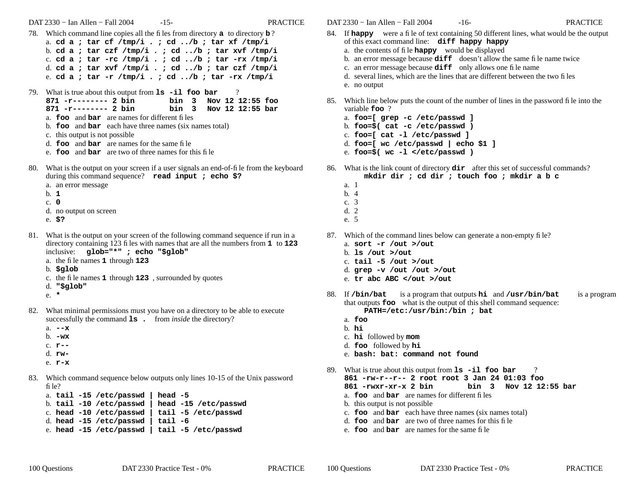DAT 2330 − Ian Allen − Fall 2004 -15- PRACTICE

- 78. Which command line copies all the files from directory **<sup>a</sup>** to directory **b** ? a. **cd a ; tar cf /tmp/i . ; cd ../b ; tar xf /tmp/i** b. **cd a ; tar czf /tmp/i . ; cd ../b ; tar xvf /tmp/i** c. **cd a ; tar -rc /tmp/i . ; cd ../b ; tar -rx /tmp/i** d. **cd a ; tar xvf /tmp/i . ; cd ../b ; tar czf /tmp/i** e. **cd a ; tar -r /tmp/i . ; cd ../b ; tar -rx /tmp/i**
- 79. What is true about this output from **ls -il foo bar** ?
	- **871 -r-------- 2 binbin 3 Nov 12 12:55 foo**
	- **871 -r-------- 2 binbin 3 Nov 12 12:55 bar**
	- a. **foo** and **bar** are names for different files
	- b. **foo** and **bar** each have three names (six names total)
	- c. this output is not possible
	- d. **foo** and **bar** are names for the same file
	- e. **foo** and **bar** are two of three names for this file
- 80. What is the output on your screen if a user signals an end-of-file from the keyboard during this command sequence? **read input ; echo \$?**
	- a. an error message
	- b. **1**
	- c. **0**
	- d. no output on screen
	- e. **\$?**
- 81. What is the output on your screen of the following command sequence if run in a directory containing 123 files with names that are all the numbers from **<sup>1</sup>** to **<sup>123</sup>** inclusive: **glob="\*" ; echo "\$glob"**
	- a. the file names **1** through **<sup>123</sup>**
	- b. **\$glob**
	- c. the file names **1** through **<sup>123</sup>** , surrounded by quotes
	- d. **"\$glob"**
	- e. **\***
- 82. What minimal permissions must you have on a directory to be able to execute successfully the command **ls .** from *inside* the directory?
	- a. **--x**b. **-wx**c. **r-**d. **rw-**
	- e. **r-x**
- 83. Which command sequence below outputs only lines 10-15 of the Unix password file?

|  | b. tail -10 /etc/passwd   head -15 /etc/passwd                         |
|--|------------------------------------------------------------------------|
|  | c. head -10 /etc/passwd   tail -5 /etc/passwd                          |
|  |                                                                        |
|  | e. head -15 /etc/passwd   tail -5 /etc/passwd                          |
|  | a. tail -15 /etc/passwd   head -5<br>d. head -15 /etc/passwd   tail -6 |

DAT 2330 − Ian Allen − Fall 2004 -16- PRACTICE

- 84. If **happy** were a file of text containing 50 different lines, what would be the output of this exact command line: **diff happy happy**
	- a. the contents of file **happy** would be displayed
	- b. an error message because **diff** doesn't allow the same file name twice
	- c. an error message because **diff** only allows one file name
	- d. several lines, which are the lines that are different between the two files
	- e. no output
- 85. Which line below puts the count of the number of lines in the password file into the variable **foo** ?
	- a. **foo=[ grep -c /etc/passwd ]**
	- b. **foo=\$( cat -c /etc/passwd )**
	- c. **foo=[ cat -l /etc/passwd ]**
	- d. **foo=[ wc /etc/passwd | echo \$1 ]**
	- e. **foo=\$( wc -l </etc/passwd )**
- 86. What is the link count of directory **dir** after this set of successful commands?
	- **mkdir dir ; cd dir ; touch foo ; mkdir a b c**
	- a. 1
	- b. 4
	- c. 3
	- d. 2
	- e. 5
- 87. Which of the command lines below can generate a non-empty file?
	- a. **sort -r /out >/out**
	- b. **ls /out >/out**
	- c. **tail -5 /out >/out**
	- d. **grep -v /out /out >/out**
	- e. **tr abc ABC </out >/out**
- 88. If **/bin/bat** is a program that outputs **hi** and **/usr/bin/bat** is a program that outputs **foo** what is the output of this shell command sequence: **PATH=/etc:/usr/bin:/bin ; bat**
	- a. **foo**
	- b. **hi**
	- c. **hi** followed by **mom**
	- d. **foo** followed by **hi**
	- e. **bash: bat: command not found**
- 89. What is true about this output from **ls -il foo bar** ? **861 -rw-r--r-- 2 root root 3 Jan 24 01:03 foo861 -rwxr-xr-x 2 bin bin 3 Nov 12 12:55 bar** a. **foo** and **bar** are names for different files b. this output is not possible c. **foo** and **bar** each have three names (six names total)
	- d. **foo** and **bar** are two of three names for this file
	- e. **foo** and **bar** are names for the same file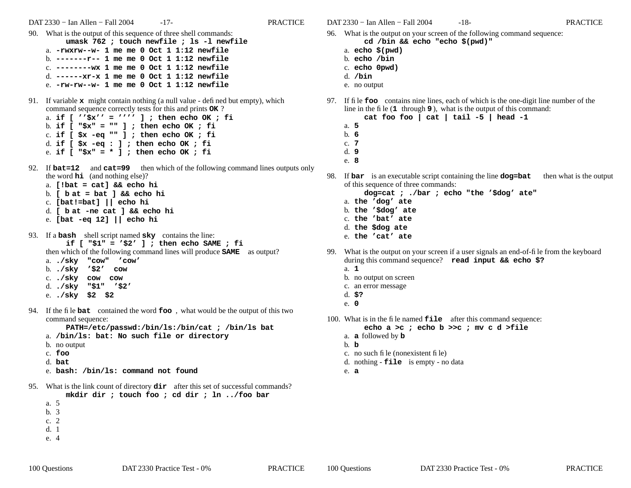DAT 2330 − Ian Allen − Fall 2004 -17- PRACTICE

- e. **-rw-rw--w- 1 me me 0 Oct 1 1:12 newfile**
- 91. If variable **x** might contain nothing (a null value defined but empty), which command sequence correctly tests for this and prints **OK** ? a. **if [ ''\$x'' = '''' ] ; then echo OK ; fi**
	- b. **if [ "\$x" = "" ] ; then echo OK ; fi** c. **if [ \$x -eq "" ] ; then echo OK ; fi** d. **if [ \$x -eq : ] ; then echo OK ; fi** e. **if [ "\$x" = \* ] ; then echo OK ; fi**
- 92. If **bat=12** and **cat=99** then which of the following command lines outputs only the word **hi** (and nothing else)?
	- a. **[!bat = cat] && echo hi** b. **[ b at = bat ] && echo hi**
	- c. **[bat!=bat] || echo hi**
	- d. **[ b at -ne cat ] && echo hi**
	- e. **[bat -eq 12] || echo hi**

93. If a **bash** shell script named **sky** contains the line: **if [ "\$1" = '\$2' ] ; then echo SAME ; fi** then which of the following command lines will produce **SAME** as output? a. **./sky "cow" 'cow'** b. **./sky '\$2' cow** c. **./sky cow cow** d. **./sky "\$1" '\$2'**

- e. **./sky \$2 \$2**
- 94. If the file **bat** contained the word **foo** , what would be the output of this two command sequence:

**PATH=/etc/passwd:/bin/ls:/bin/cat ; /bin/ls bat**

- a. **/bin/ls: bat: No such file or directory**
- b. no output
- c. **foo**
- d. **bat**
- e. **bash: /bin/ls: command not found**
- 95. What is the link count of directory **dir** after this set of successful commands? **mkdir dir ; touch foo ; cd dir ; ln ../foo bar**
	- a. 5
	- b. 3c. 2
	- d. 1
	- e. 4

DAT 2330 − Ian Allen − Fall 2004 -18- PRACTICE

- 96. What is the output on your screen of the following command sequence: **cd /bin && echo "echo \$(pwd)"**
	- a. **echo \$(pwd)**
	- b. **echo /bin**
	- c. **echo 0pwd)**
	- d. **/bin**
	- e. no output
- 97. If file **foo** contains nine lines, each of which is the one-digit line number of the line in the file (**<sup>1</sup>** through **9** ), what is the output of this command:
	- **cat foo foo | cat | tail -5 | head -1**
	- a. **5**b. **6**
	- c. **7**
	- d. **9**
	- e. **8**
- 98. If **bar** is an executable script containing the line **dog=bat** then what is the output of this sequence of three commands:

**dog=cat ; ./bar ; echo "the '\$dog' ate"**

- a. **the 'dog' ate**
- b. **the '\$dog' ate**
- c. **the 'bat' ate**
- d. **the \$dog ate**
- e. **the 'cat' ate**
- 99. What is the output on your screen if a user signals an end-of-file from the keyboard during this command sequence? **read input && echo \$?**
	- a. **1**
	- b. no output on screen
	- c. an error message
	- d. **\$?**
	- e. **0**
- 100. What is in the file named **file** after this command sequence:

## **echo a >c ; echo b >>c ; mv c d >file**

- a. **a** followed by **b**
- b. **b**
- c. no such file (nonexistent file)
- d. nothing **file** is empty no data
- e. **a**